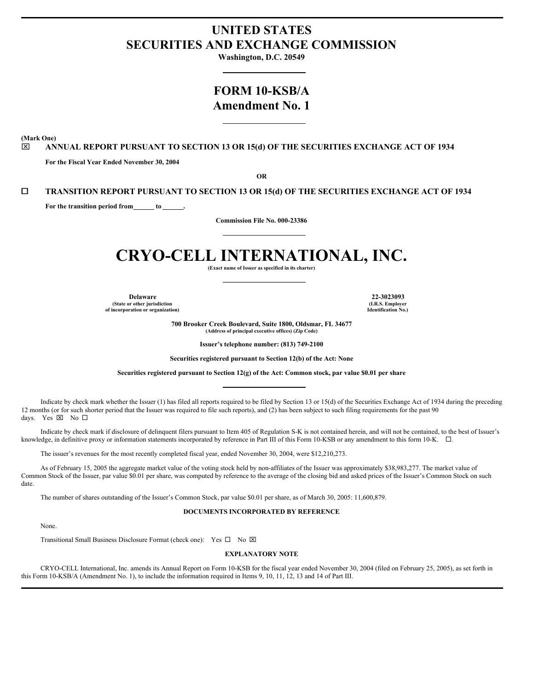# **UNITED STATES SECURITIES AND EXCHANGE COMMISSION**

**Washington, D.C. 20549**

# **FORM 10-KSB/A Amendment No. 1**

**(Mark One)**

### x **ANNUAL REPORT PURSUANT TO SECTION 13 OR 15(d) OF THE SECURITIES EXCHANGE ACT OF 1934**

**For the Fiscal Year Ended November 30, 2004**

**OR**

# ¨ **TRANSITION REPORT PURSUANT TO SECTION 13 OR 15(d) OF THE SECURITIES EXCHANGE ACT OF 1934**

**For the transition period from to .**

**Commission File No. 000-23386**

# **CRYO-CELL INTERNATIONAL, INC.**

**(Exact name of Issuer as specified in its charter)**

**(State or other jurisdiction of incorporation or organization)**

**Delaware 22-3023093 (I.R.S. Employer Identification No.)**

> **700 Brooker Creek Boulevard, Suite 1800, Oldsmar, FL 34677 (Address of principal executive offices) (Zip Code)**

> > **Issuer's telephone number: (813) 749-2100**

**Securities registered pursuant to Section 12(b) of the Act: None**

**Securities registered pursuant to Section 12(g) of the Act: Common stock, par value \$0.01 per share**

Indicate by check mark whether the Issuer (1) has filed all reports required to be filed by Section 13 or 15(d) of the Securities Exchange Act of 1934 during the preceding 12 months (or for such shorter period that the Issuer was required to file such reports), and (2) has been subject to such filing requirements for the past 90 days. Yes  $\boxtimes$  No  $\square$ 

Indicate by check mark if disclosure of delinquent filers pursuant to Item 405 of Regulation S-K is not contained herein, and will not be contained, to the best of Issuer's knowledge, in definitive proxy or information statements incorporated by reference in Part III of this Form 10-KSB or any amendment to this form 10-K.  $\Box$ .

The issuer's revenues for the most recently completed fiscal year, ended November 30, 2004, were \$12,210,273.

As of February 15, 2005 the aggregate market value of the voting stock held by non-affiliates of the Issuer was approximately \$38,983,277. The market value of Common Stock of the Issuer, par value \$0.01 per share, was computed by reference to the average of the closing bid and asked prices of the Issuer's Common Stock on such date.

The number of shares outstanding of the Issuer's Common Stock, par value \$0.01 per share, as of March 30, 2005: 11,600,879.

#### **DOCUMENTS INCORPORATED BY REFERENCE**

None.

Transitional Small Business Disclosure Format (check one): Yes  $\square$  No  $\square$ 

#### **EXPLANATORY NOTE**

CRYO-CELL International, Inc. amends its Annual Report on Form 10-KSB for the fiscal year ended November 30, 2004 (filed on February 25, 2005), as set forth in this Form 10-KSB/A (Amendment No. 1), to include the information required in Items 9, 10, 11, 12, 13 and 14 of Part III.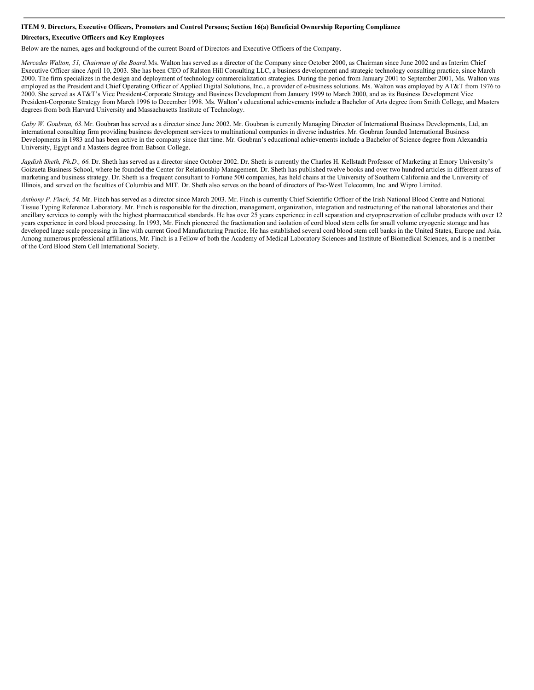#### ITEM 9. Directors, Executive Officers, Promoters and Control Persons; Section 16(a) Beneficial Ownership Reporting Compliance

# **Directors, Executive Officers and Key Employees**

Below are the names, ages and background of the current Board of Directors and Executive Officers of the Company.

*Mercedes Walton, 51, Chairman of the Board.*Ms. Walton has served as a director of the Company since October 2000, as Chairman since June 2002 and as Interim Chief Executive Officer since April 10, 2003. She has been CEO of Ralston Hill Consulting LLC, a business development and strategic technology consulting practice, since March 2000. The firm specializes in the design and deployment of technology commercialization strategies. During the period from January 2001 to September 2001, Ms. Walton was employed as the President and Chief Operating Officer of Applied Digital Solutions, Inc., a provider of e-business solutions. Ms. Walton was employed by AT&T from 1976 to 2000. She served as AT&T's Vice President-Corporate Strategy and Business Development from January 1999 to March 2000, and as its Business Development Vice President-Corporate Strategy from March 1996 to December 1998. Ms. Walton's educational achievements include a Bachelor of Arts degree from Smith College, and Masters degrees from both Harvard University and Massachusetts Institute of Technology.

*Gaby W. Goubran, 63.*Mr. Goubran has served as a director since June 2002. Mr. Goubran is currently Managing Director of International Business Developments, Ltd, an international consulting firm providing business development services to multinational companies in diverse industries. Mr. Goubran founded International Business Developments in 1983 and has been active in the company since that time. Mr. Goubran's educational achievements include a Bachelor of Science degree from Alexandria University, Egypt and a Masters degree from Babson College.

*Jagdish Sheth, Ph.D., 66.* Dr. Sheth has served as a director since October 2002. Dr. Sheth is currently the Charles H. Kellstadt Professor of Marketing at Emory University's Goizueta Business School, where he founded the Center for Relationship Management. Dr. Sheth has published twelve books and over two hundred articles in different areas of marketing and business strategy. Dr. Sheth is a frequent consultant to Fortune 500 companies, has held chairs at the University of Southern California and the University of Illinois, and served on the faculties of Columbia and MIT. Dr. Sheth also serves on the board of directors of Pac-West Telecomm, Inc. and Wipro Limited.

*Anthony P. Finch, 54.* Mr. Finch has served as a director since March 2003. Mr. Finch is currently Chief Scientific Officer of the Irish National Blood Centre and National Tissue Typing Reference Laboratory. Mr. Finch is responsible for the direction, management, organization, integration and restructuring of the national laboratories and their ancillary services to comply with the highest pharmaceutical standards. He has over 25 years experience in cell separation and cryopreservation of cellular products with over 12 years experience in cord blood processing. In 1993, Mr. Finch pioneered the fractionation and isolation of cord blood stem cells for small volume cryogenic storage and has developed large scale processing in line with current Good Manufacturing Practice. He has established several cord blood stem cell banks in the United States, Europe and Asia. Among numerous professional affiliations, Mr. Finch is a Fellow of both the Academy of Medical Laboratory Sciences and Institute of Biomedical Sciences, and is a member of the Cord Blood Stem Cell International Society.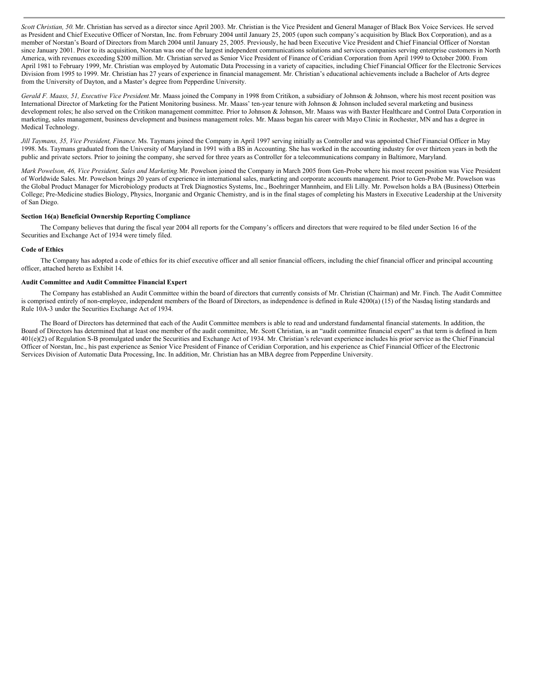*Scott Christian, 50.* Mr. Christian has served as a director since April 2003. Mr. Christian is the Vice President and General Manager of Black Box Voice Services. He served as President and Chief Executive Officer of Norstan, Inc. from February 2004 until January 25, 2005 (upon such company's acquisition by Black Box Corporation), and as a member of Norstan's Board of Directors from March 2004 until January 25, 2005. Previously, he had been Executive Vice President and Chief Financial Officer of Norstan since January 2001. Prior to its acquisition, Norstan was one of the largest independent communications solutions and services companies serving enterprise customers in North America, with revenues exceeding \$200 million. Mr. Christian served as Senior Vice President of Finance of Ceridian Corporation from April 1999 to October 2000. From April 1981 to February 1999, Mr. Christian was employed by Automatic Data Processing in a variety of capacities, including Chief Financial Officer for the Electronic Services Division from 1995 to 1999. Mr. Christian has 27 years of experience in financial management. Mr. Christian's educational achievements include a Bachelor of Arts degree from the University of Dayton, and a Master's degree from Pepperdine University.

*Gerald F. Maass, 51, Executive Vice President.*Mr. Maass joined the Company in 1998 from Critikon, a subsidiary of Johnson & Johnson, where his most recent position was International Director of Marketing for the Patient Monitoring business. Mr. Maass' ten-year tenure with Johnson & Johnson included several marketing and business development roles; he also served on the Critikon management committee. Prior to Johnson & Johnson, Mr. Maass was with Baxter Healthcare and Control Data Corporation in marketing, sales management, business development and business management roles. Mr. Maass began his career with Mayo Clinic in Rochester, MN and has a degree in Medical Technology.

*Jill Taymans, 35, Vice President, Finance.* Ms. Taymans joined the Company in April 1997 serving initially as Controller and was appointed Chief Financial Officer in May 1998. Ms. Taymans graduated from the University of Maryland in 1991 with a BS in Accounting. She has worked in the accounting industry for over thirteen years in both the public and private sectors. Prior to joining the company, she served for three years as Controller for a telecommunications company in Baltimore, Maryland.

*Mark Powelson, 46, Vice President, Sales and Marketing.*Mr. Powelson joined the Company in March 2005 from Gen-Probe where his most recent position was Vice President of Worldwide Sales. Mr. Powelson brings 20 years of experience in international sales, marketing and corporate accounts management. Prior to Gen-Probe Mr. Powelson was the Global Product Manager for Microbiology products at Trek Diagnostics Systems, Inc., Boehringer Mannheim, and Eli Lilly. Mr. Powelson holds a BA (Business) Otterbein College; Pre-Medicine studies Biology, Physics, Inorganic and Organic Chemistry, and is in the final stages of completing his Masters in Executive Leadership at the University of San Diego.

#### **Section 16(a) Beneficial Ownership Reporting Compliance**

The Company believes that during the fiscal year 2004 all reports for the Company's officers and directors that were required to be filed under Section 16 of the Securities and Exchange Act of 1934 were timely filed.

#### **Code of Ethics**

The Company has adopted a code of ethics for its chief executive officer and all senior financial officers, including the chief financial officer and principal accounting officer, attached hereto as Exhibit 14.

#### **Audit Committee and Audit Committee Financial Expert**

The Company has established an Audit Committee within the board of directors that currently consists of Mr. Christian (Chairman) and Mr. Finch. The Audit Committee is comprised entirely of non-employee, independent members of the Board of Directors, as independence is defined in Rule 4200(a) (15) of the Nasdaq listing standards and Rule 10A-3 under the Securities Exchange Act of 1934.

The Board of Directors has determined that each of the Audit Committee members is able to read and understand fundamental financial statements. In addition, the Board of Directors has determined that at least one member of the audit committee, Mr. Scott Christian, is an "audit committee financial expert" as that term is defined in Item 401(e)(2) of Regulation S-B promulgated under the Securities and Exchange Act of 1934. Mr. Christian's relevant experience includes his prior service as the Chief Financial Officer of Norstan, Inc., his past experience as Senior Vice President of Finance of Ceridian Corporation, and his experience as Chief Financial Officer of the Electronic Services Division of Automatic Data Processing, Inc. In addition, Mr. Christian has an MBA degree from Pepperdine University.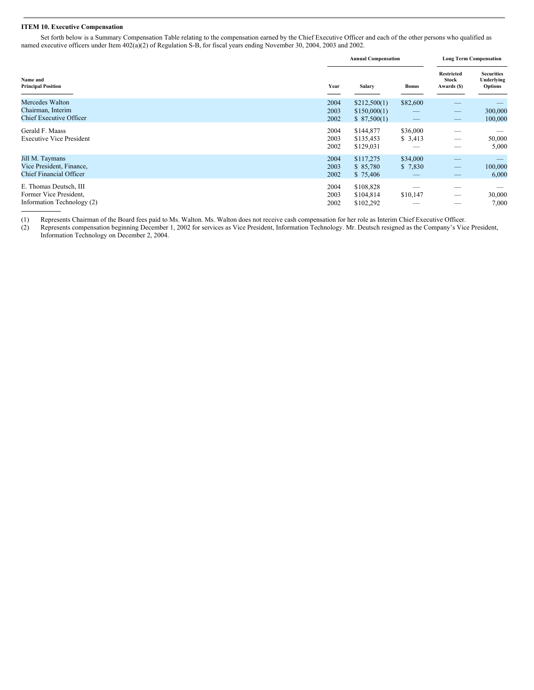#### **ITEM 10. Executive Compensation**

Set forth below is a Summary Compensation Table relating to the compensation earned by the Chief Executive Officer and each of the other persons who qualified as named executive officers under Item 402(a)(2) of Regulation S-B, for fiscal years ending November 30, 2004, 2003 and 2002.

|                                                                                |                      | <b>Annual Compensation</b>                  |                                      |                                                  | <b>Long Term Compensation</b>                     |  |
|--------------------------------------------------------------------------------|----------------------|---------------------------------------------|--------------------------------------|--------------------------------------------------|---------------------------------------------------|--|
| Name and<br><b>Principal Position</b>                                          | Year                 | <b>Salary</b>                               | <b>Bonus</b>                         | <b>Restricted</b><br><b>Stock</b><br>Awards (\$) | <b>Securities</b><br>Underlying<br><b>Options</b> |  |
| Mercedes Walton<br>Chairman, Interim<br><b>Chief Executive Officer</b>         | 2004<br>2003<br>2002 | \$212,500(1)<br>\$150,000(1)<br>\$87,500(1) | \$82,600<br>$\qquad \qquad - \qquad$ | $\hspace{0.1mm}-\hspace{0.1mm}$                  | 300,000<br>100,000                                |  |
| Gerald F. Maass<br><b>Executive Vice President</b>                             | 2004<br>2003<br>2002 | \$144,877<br>\$135,453<br>\$129,031         | \$36,000<br>\$3,413                  |                                                  | 50,000<br>5,000                                   |  |
| Jill M. Taymans<br>Vice President, Finance,<br><b>Chief Financial Officer</b>  | 2004<br>2003<br>2002 | \$117,275<br>\$ 85,780<br>\$75,406          | \$34,000<br>\$7,830                  |                                                  | 100,000<br>6,000                                  |  |
| E. Thomas Deutsch, III<br>Former Vice President,<br>Information Technology (2) | 2004<br>2003<br>2002 | \$108,828<br>\$104,814<br>\$102,292         | \$10,147                             | _                                                | 30,000<br>7,000                                   |  |

(1) Represents Chairman of the Board fees paid to Ms. Walton. Ms. Walton does not receive cash compensation for her role as Interim Chief Executive Officer.

(2) Represents compensation beginning December 1, 2002 for services as Vice President, Information Technology. Mr. Deutsch resigned as the Company's Vice President, Information Technology on December 2, 2004.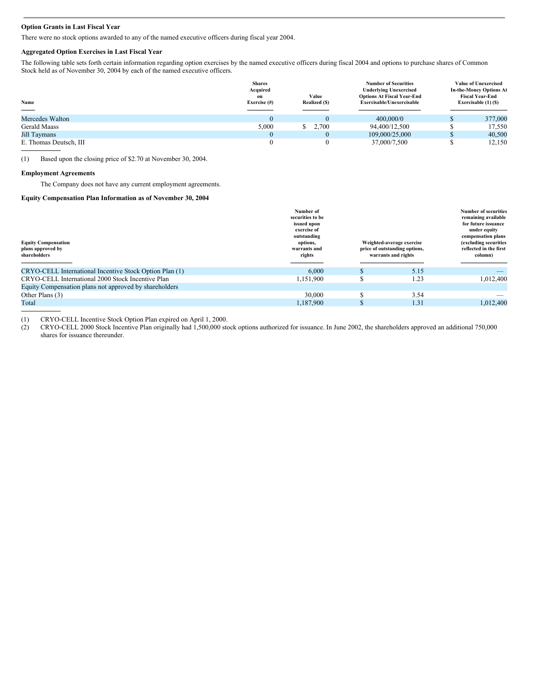#### **Option Grants in Last Fiscal Year**

There were no stock options awarded to any of the named executive officers during fiscal year 2004.

#### **Aggregated Option Exercises in Last Fiscal Year**

The following table sets forth certain information regarding option exercises by the named executive officers during fiscal 2004 and options to purchase shares of Common Stock held as of November 30, 2004 by each of the named executive officers.

| Name                   | <b>Shares</b><br>Acquired<br>on<br>Exercise (#) | Value<br>Realized (\$) | <b>Number of Securities</b><br><b>Underlying Unexercised</b><br><b>Options At Fiscal Year-End</b><br>Exercisable/Unexercisable | <b>Value of Unexercised</b><br><b>In-the-Money Options At</b><br><b>Fiscal Year-End</b><br>Exercisable $(1)$ $(S)$ |
|------------------------|-------------------------------------------------|------------------------|--------------------------------------------------------------------------------------------------------------------------------|--------------------------------------------------------------------------------------------------------------------|
| Mercedes Walton        | $\theta$                                        |                        | 400,000/0                                                                                                                      | 377,000                                                                                                            |
| <b>Gerald Maass</b>    | 5.000                                           | 2.700                  | 94,400/12,500                                                                                                                  | 17,550                                                                                                             |
| Jill Taymans           | $\mathbf{0}$                                    |                        | 109,000/25,000                                                                                                                 | 40,500                                                                                                             |
| E. Thomas Deutsch, III |                                                 |                        | 37,000/7,500                                                                                                                   | 12,150                                                                                                             |

(1) Based upon the closing price of \$2.70 at November 30, 2004.

#### **Employment Agreements**

The Company does not have any current employment agreements.

#### **Equity Compensation Plan Information as of November 30, 2004**

| <b>Equity Compensation</b><br>plans approved by<br>shareholders | Number of<br>securities to be<br>issued upon<br>exercise of<br>outstanding<br>options,<br>warrants and<br>rights |   | Weighted-average exercise<br>price of outstanding options,<br>warrants and rights | <b>Number of securities</b><br>remaining available<br>for future issuance<br>under equity<br>compensation plans<br>(excluding securities<br>reflected in the first<br>column) |
|-----------------------------------------------------------------|------------------------------------------------------------------------------------------------------------------|---|-----------------------------------------------------------------------------------|-------------------------------------------------------------------------------------------------------------------------------------------------------------------------------|
| CRYO-CELL International Incentive Stock Option Plan (1)         | 6.000                                                                                                            |   | 5.15                                                                              |                                                                                                                                                                               |
| CRYO-CELL International 2000 Stock Incentive Plan               | 1,151,900                                                                                                        | ሖ | 1.23                                                                              | 1,012,400                                                                                                                                                                     |
| Equity Compensation plans not approved by shareholders          |                                                                                                                  |   |                                                                                   |                                                                                                                                                                               |
| Other Plans (3)                                                 | 30,000                                                                                                           |   | 3.54                                                                              |                                                                                                                                                                               |
| Total                                                           | 1,187,900                                                                                                        | æ | 1.31                                                                              | 1,012,400                                                                                                                                                                     |

(1) CRYO-CELL Incentive Stock Option Plan expired on April 1, 2000. (2) CRYO-CELL 2000 Stock Incentive Plan originally had 1,500,000 stock options authorized for issuance. In June 2002, the shareholders approved an additional 750,000 shares for issuance thereunder.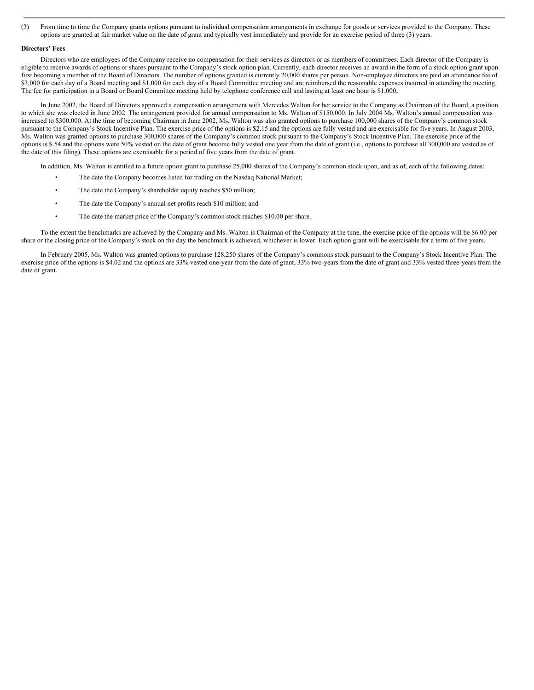(3) From time to time the Company grants options pursuant to individual compensation arrangements in exchange for goods or services provided to the Company. These options are granted at fair market value on the date of grant and typically vest immediately and provide for an exercise period of three (3) years.

#### **Directors' Fees**

Directors who are employees of the Company receive no compensation for their services as directors or as members of committees. Each director of the Company is eligible to receive awards of options or shares pursuant to the Company's stock option plan. Currently, each director receives an award in the form of a stock option grant upon first becoming a member of the Board of Directors. The number of options granted is currently 20,000 shares per person. Non-employee directors are paid an attendance fee of \$3,000 for each day of a Board meeting and \$1,000 for each day of a Board Committee meeting and are reimbursed the reasonable expenses incurred in attending the meeting. The fee for participation in a Board or Board Committee meeting held by telephone conference call and lasting at least one hour is \$1,000**.**

In June 2002, the Board of Directors approved a compensation arrangement with Mercedes Walton for her service to the Company as Chairman of the Board, a position to which she was elected in June 2002. The arrangement provided for annual compensation to Ms. Walton of \$150,000. In July 2004 Ms. Walton's annual compensation was increased to \$300,000. At the time of becoming Chairman in June 2002, Ms. Walton was also granted options to purchase 100,000 shares of the Company's common stock pursuant to the Company's Stock Incentive Plan. The exercise price of the options is \$2.15 and the options are fully vested and are exercisable for five years. In August 2003, Ms. Walton was granted options to purchase 300,000 shares of the Company's common stock pursuant to the Company's Stock Incentive Plan. The exercise price of the options is \$.54 and the options were 50% vested on the date of grant become fully vested one year from the date of grant (i.e., options to purchase all 300,000 are vested as of the date of this filing). These options are exercisable for a period of five years from the date of grant.

In addition, Ms. Walton is entitled to a future option grant to purchase 25,000 shares of the Company's common stock upon, and as of, each of the following dates:

- The date the Company becomes listed for trading on the Nasdaq National Market;
- The date the Company's shareholder equity reaches \$50 million;
- The date the Company's annual net profits reach \$10 million; and
- The date the market price of the Company's common stock reaches \$10.00 per share.

To the extent the benchmarks are achieved by the Company and Ms. Walton is Chairman of the Company at the time, the exercise price of the options will be \$6.00 per share or the closing price of the Company's stock on the day the benchmark is achieved, whichever is lower. Each option grant will be exercisable for a term of five years.

In February 2005, Ms. Walton was granted options to purchase 128,250 shares of the Company's commons stock pursuant to the Company's Stock Incentive Plan. The exercise price of the options is \$4.02 and the options are 33% vested one-year from the date of grant, 33% two-years from the date of grant and 33% vested three-years from the date of grant.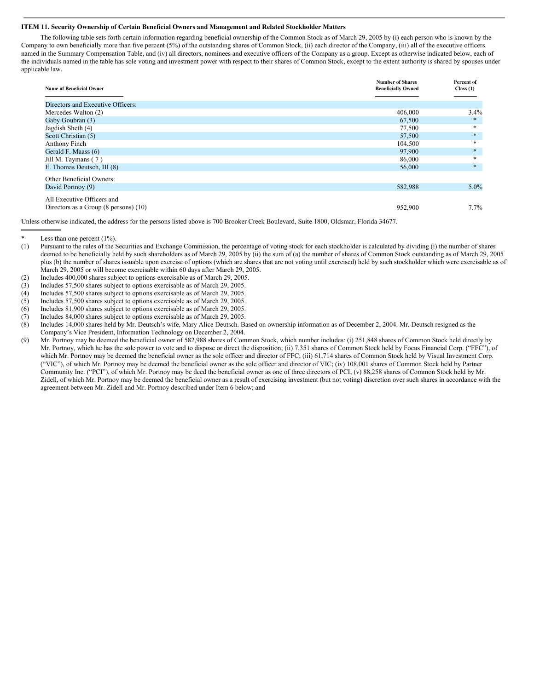#### **ITEM 11. Security Ownership of Certain Beneficial Owners and Management and Related Stockholder Matters**

The following table sets forth certain information regarding beneficial ownership of the Common Stock as of March 29, 2005 by (i) each person who is known by the Company to own beneficially more than five percent (5%) of the outstanding shares of Common Stock, (ii) each director of the Company, (iii) all of the executive officers named in the Summary Compensation Table, and (iv) all directors, nominees and executive officers of the Company as a group. Except as otherwise indicated below, each of the individuals named in the table has sole voting and investment power with respect to their shares of Common Stock, except to the extent authority is shared by spouses under applicable law.

| <b>Name of Beneficial Owner</b>                   | <b>Number of Shares</b><br><b>Beneficially Owned</b> | Percent of<br>Class(1) |
|---------------------------------------------------|------------------------------------------------------|------------------------|
|                                                   |                                                      |                        |
| Directors and Executive Officers:                 |                                                      |                        |
| Mercedes Walton (2)                               | 406,000                                              | 3.4%                   |
| Gaby Goubran (3)                                  | 67,500                                               | *                      |
| Jagdish Sheth (4)                                 | 77,500                                               | $*$                    |
| Scott Christian (5)                               | 57,500                                               | $\ast$                 |
| Anthony Finch                                     | 104,500                                              | *                      |
| Gerald F. Maass (6)                               | 97,900                                               | *                      |
| Jill M. Taymans (7)                               | 86,000                                               | *                      |
| E. Thomas Deutsch, III (8)                        | 56,000                                               | $*$                    |
| Other Beneficial Owners:                          |                                                      |                        |
| David Portnoy (9)                                 | 582,988                                              | $5.0\%$                |
| All Executive Officers and                        |                                                      |                        |
| Directors as a Group $(8 \text{ persons})$ $(10)$ | 952,900                                              | $7.7\%$                |

Unless otherwise indicated, the address for the persons listed above is 700 Brooker Creek Boulevard, Suite 1800, Oldsmar, Florida 34677.

(2) Includes 400,000 shares subject to options exercisable as of March 29, 2005.

- (4) Includes 57,500 shares subject to options exercisable as of March 29, 2005.<br>
(5) Includes 57,500 shares subject to options exercisable as of March 29, 2005.
- Includes 57,500 shares subject to options exercisable as of March 29, 2005.
- (6) Includes 81,900 shares subject to options exercisable as of March 29, 2005.
- (7) Includes 84,000 shares subject to options exercisable as of March 29, 2005.
- Includes 14,000 shares held by Mr. Deutsch's wife, Mary Alice Deutsch. Based on ownership information as of December 2, 2004. Mr. Deutsch resigned as the Company's Vice President, Information Technology on December 2, 2004.
- (9) Mr. Portnoy may be deemed the beneficial owner of 582,988 shares of Common Stock, which number includes: (i) 251,848 shares of Common Stock held directly by Mr. Portnoy, which he has the sole power to vote and to dispose or direct the disposition; (ii) 7,351 shares of Common Stock held by Focus Financial Corp. ("FFC"), of which Mr. Portnoy may be deemed the beneficial owner as the sole officer and director of FFC; (iii) 61,714 shares of Common Stock held by Visual Investment Corp. ("VIC"), of which Mr. Portnoy may be deemed the beneficial owner as the sole officer and director of VIC; (iv) 108,001 shares of Common Stock held by Partner Community Inc. ("PCI"), of which Mr. Portnoy may be deed the beneficial owner as one of three directors of PCI; (v) 88,258 shares of Common Stock held by Mr. Zidell, of which Mr. Portnoy may be deemed the beneficial owner as a result of exercising investment (but not voting) discretion over such shares in accordance with the agreement between Mr. Zidell and Mr. Portnoy described under Item 6 below; and

<sup>\*</sup> Less than one percent  $(1\%)$ .<br>(1) Pursuant to the rules of the S Pursuant to the rules of the Securities and Exchange Commission, the percentage of voting stock for each stockholder is calculated by dividing (i) the number of shares deemed to be beneficially held by such shareholders as of March 29, 2005 by (ii) the sum of (a) the number of shares of Common Stock outstanding as of March 29, 2005 plus (b) the number of shares issuable upon exercise of options (which are shares that are not voting until exercised) held by such stockholder which were exercisable as of March 29, 2005 or will become exercisable within 60 days after March 29, 2005.

<sup>(3)</sup> Includes 57,500 shares subject to options exercisable as of March 29, 2005.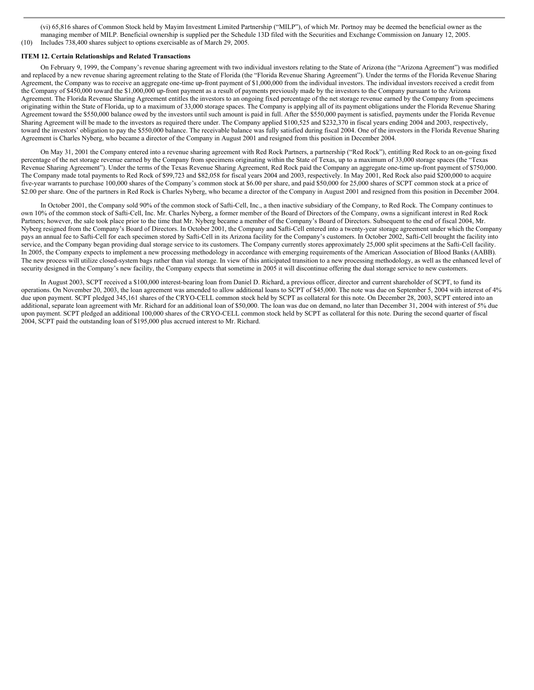(vi) 65,816 shares of Common Stock held by Mayim Investment Limited Partnership ("MILP"), of which Mr. Portnoy may be deemed the beneficial owner as the managing member of MILP. Beneficial ownership is supplied per the Schedule 13D filed with the Securities and Exchange Commission on January 12, 2005. (10) Includes 738,400 shares subject to options exercisable as of March 29, 2005.

#### **ITEM 12. Certain Relationships and Related Transactions**

On February 9, 1999, the Company's revenue sharing agreement with two individual investors relating to the State of Arizona (the "Arizona Agreement") was modified and replaced by a new revenue sharing agreement relating to the State of Florida (the "Florida Revenue Sharing Agreement"). Under the terms of the Florida Revenue Sharing Agreement, the Company was to receive an aggregate one-time up-front payment of \$1,000,000 from the individual investors. The individual investors received a credit from the Company of \$450,000 toward the \$1,000,000 up-front payment as a result of payments previously made by the investors to the Company pursuant to the Arizona Agreement. The Florida Revenue Sharing Agreement entitles the investors to an ongoing fixed percentage of the net storage revenue earned by the Company from specimens originating within the State of Florida, up to a maximum of 33,000 storage spaces. The Company is applying all of its payment obligations under the Florida Revenue Sharing Agreement toward the \$550,000 balance owed by the investors until such amount is paid in full. After the \$550,000 payment is satisfied, payments under the Florida Revenue Sharing Agreement will be made to the investors as required there under. The Company applied \$100,525 and \$232,370 in fiscal years ending 2004 and 2003, respectively, toward the investors' obligation to pay the \$550,000 balance. The receivable balance was fully satisfied during fiscal 2004. One of the investors in the Florida Revenue Sharing Agreement is Charles Nyberg, who became a director of the Company in August 2001 and resigned from this position in December 2004.

On May 31, 2001 the Company entered into a revenue sharing agreement with Red Rock Partners, a partnership ("Red Rock"), entitling Red Rock to an on-going fixed percentage of the net storage revenue earned by the Company from specimens originating within the State of Texas, up to a maximum of 33,000 storage spaces (the "Texas Revenue Sharing Agreement"). Under the terms of the Texas Revenue Sharing Agreement, Red Rock paid the Company an aggregate one-time up-front payment of \$750,000. The Company made total payments to Red Rock of \$99,723 and \$82,058 for fiscal years 2004 and 2003, respectively. In May 2001, Red Rock also paid \$200,000 to acquire five-year warrants to purchase 100,000 shares of the Company's common stock at \$6.00 per share, and paid \$50,000 for 25,000 shares of SCPT common stock at a price of \$2.00 per share. One of the partners in Red Rock is Charles Nyberg, who became a director of the Company in August 2001 and resigned from this position in December 2004.

In October 2001, the Company sold 90% of the common stock of Safti-Cell, Inc., a then inactive subsidiary of the Company, to Red Rock. The Company continues to own 10% of the common stock of Safti-Cell, Inc. Mr. Charles Nyberg, a former member of the Board of Directors of the Company, owns a significant interest in Red Rock Partners; however, the sale took place prior to the time that Mr. Nyberg became a member of the Company's Board of Directors. Subsequent to the end of fiscal 2004, Mr. Nyberg resigned from the Company's Board of Directors. In October 2001, the Company and Safti-Cell entered into a twenty-year storage agreement under which the Company pays an annual fee to Safti-Cell for each specimen stored by Safti-Cell in its Arizona facility for the Company's customers. In October 2002, Safti-Cell brought the facility into service, and the Company began providing dual storage service to its customers. The Company currently stores approximately 25,000 split specimens at the Safti-Cell facility. In 2005, the Company expects to implement a new processing methodology in accordance with emerging requirements of the American Association of Blood Banks (AABB). The new process will utilize closed-system bags rather than vial storage. In view of this anticipated transition to a new processing methodology, as well as the enhanced level of security designed in the Company's new facility, the Company expects that sometime in 2005 it will discontinue offering the dual storage service to new customers.

In August 2003, SCPT received a \$100,000 interest-bearing loan from Daniel D. Richard, a previous officer, director and current shareholder of SCPT, to fund its operations. On November 20, 2003, the loan agreement was amended to allow additional loans to SCPT of \$45,000. The note was due on September 5, 2004 with interest of 4% due upon payment. SCPT pledged 345,161 shares of the CRYO-CELL common stock held by SCPT as collateral for this note. On December 28, 2003, SCPT entered into an additional, separate loan agreement with Mr. Richard for an additional loan of \$50,000. The loan was due on demand, no later than December 31, 2004 with interest of 5% due upon payment. SCPT pledged an additional 100,000 shares of the CRYO-CELL common stock held by SCPT as collateral for this note. During the second quarter of fiscal 2004, SCPT paid the outstanding loan of \$195,000 plus accrued interest to Mr. Richard.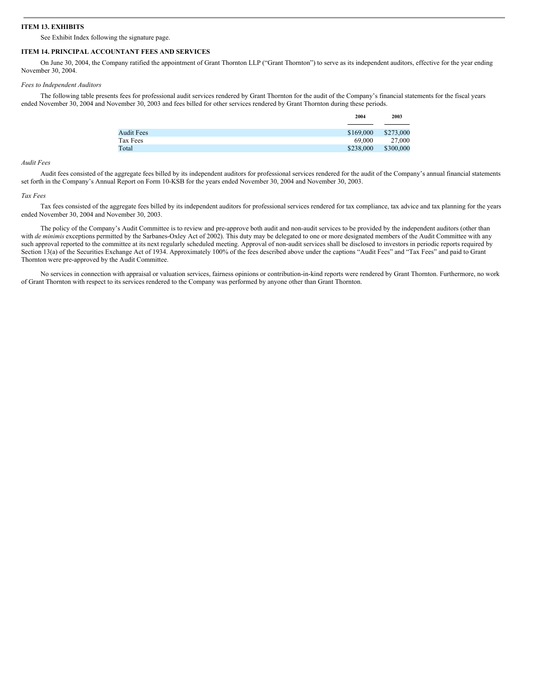#### **ITEM 13. EXHIBITS**

See Exhibit Index following the signature page.

#### **ITEM 14. PRINCIPAL ACCOUNTANT FEES AND SERVICES**

On June 30, 2004, the Company ratified the appointment of Grant Thornton LLP ("Grant Thornton") to serve as its independent auditors, effective for the year ending November 30, 2004.

#### *Fees to Independent Auditors*

The following table presents fees for professional audit services rendered by Grant Thornton for the audit of the Company's financial statements for the fiscal years ended November 30, 2004 and November 30, 2003 and fees billed for other services rendered by Grant Thornton during these periods.

|                   | 2004      | 2003      |
|-------------------|-----------|-----------|
|                   |           |           |
| <b>Audit Fees</b> | \$169,000 | \$273,000 |
| Tax Fees          | 69.000    | 27,000    |
| Total             | \$238,000 | \$300,000 |

#### *Audit Fees*

Audit fees consisted of the aggregate fees billed by its independent auditors for professional services rendered for the audit of the Company's annual financial statements set forth in the Company's Annual Report on Form 10-KSB for the years ended November 30, 2004 and November 30, 2003.

#### *Tax Fees*

Tax fees consisted of the aggregate fees billed by its independent auditors for professional services rendered for tax compliance, tax advice and tax planning for the years ended November 30, 2004 and November 30, 2003.

The policy of the Company's Audit Committee is to review and pre-approve both audit and non-audit services to be provided by the independent auditors (other than with *de minimis* exceptions permitted by the Sarbanes-Oxley Act of 2002). This duty may be delegated to one or more designated members of the Audit Committee with any such approval reported to the committee at its next regularly scheduled meeting. Approval of non-audit services shall be disclosed to investors in periodic reports required by Section 13(a) of the Securities Exchange Act of 1934. Approximately 100% of the fees described above under the captions "Audit Fees" and "Tax Fees" and paid to Grant Thornton were pre-approved by the Audit Committee.

No services in connection with appraisal or valuation services, fairness opinions or contribution-in-kind reports were rendered by Grant Thornton. Furthermore, no work of Grant Thornton with respect to its services rendered to the Company was performed by anyone other than Grant Thornton.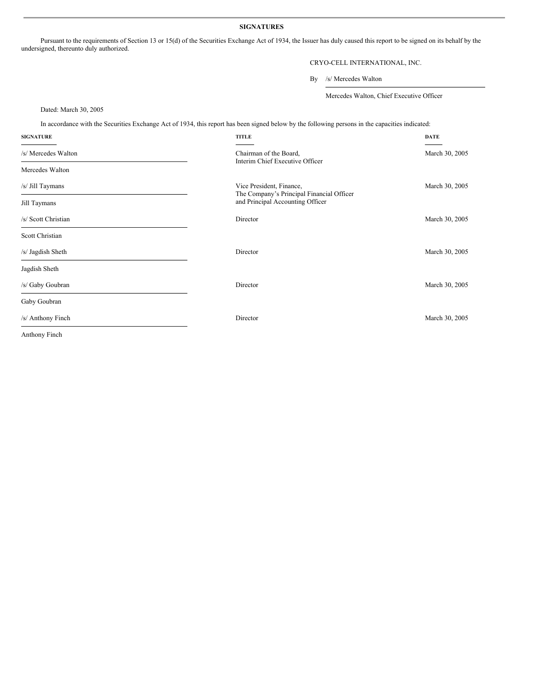# **SIGNATURES**

Pursuant to the requirements of Section 13 or 15(d) of the Securities Exchange Act of 1934, the Issuer has duly caused this report to be signed on its behalf by the undersigned, thereunto duly authorized.

# CRYO-CELL INTERNATIONAL, INC.

By /s/ Mercedes Walton

Mercedes Walton, Chief Executive Officer

Dated: March 30, 2005

In accordance with the Securities Exchange Act of 1934, this report has been signed below by the following persons in the capacities indicated:

| <b>SIGNATURE</b>    | <b>TITLE</b>                                                          | <b>DATE</b>    |  |  |
|---------------------|-----------------------------------------------------------------------|----------------|--|--|
| /s/ Mercedes Walton | Chairman of the Board,<br>Interim Chief Executive Officer             | March 30, 2005 |  |  |
| Mercedes Walton     |                                                                       |                |  |  |
| /s/ Jill Taymans    | Vice President, Finance,<br>The Company's Principal Financial Officer | March 30, 2005 |  |  |
| Jill Taymans        | and Principal Accounting Officer                                      |                |  |  |
| /s/ Scott Christian | Director                                                              | March 30, 2005 |  |  |
| Scott Christian     |                                                                       |                |  |  |
| /s/ Jagdish Sheth   | Director                                                              | March 30, 2005 |  |  |
| Jagdish Sheth       |                                                                       |                |  |  |
| /s/ Gaby Goubran    | Director                                                              | March 30, 2005 |  |  |
| Gaby Goubran        |                                                                       |                |  |  |
| /s/ Anthony Finch   | Director                                                              | March 30, 2005 |  |  |
| Anthony Finch       |                                                                       |                |  |  |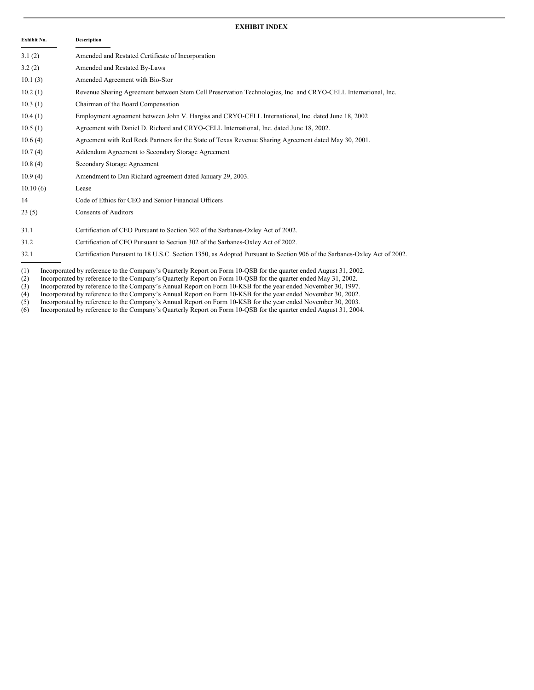# **EXHIBIT INDEX**

| Exhibit No. | <b>Description</b>                                                                                                      |
|-------------|-------------------------------------------------------------------------------------------------------------------------|
| 3.1(2)      | Amended and Restated Certificate of Incorporation                                                                       |
| 3.2(2)      | Amended and Restated By-Laws                                                                                            |
| 10.1(3)     | Amended Agreement with Bio-Stor                                                                                         |
| 10.2(1)     | Revenue Sharing Agreement between Stem Cell Preservation Technologies, Inc. and CRYO-CELL International, Inc.           |
| 10.3(1)     | Chairman of the Board Compensation                                                                                      |
| 10.4(1)     | Employment agreement between John V. Hargiss and CRYO-CELL International, Inc. dated June 18, 2002                      |
| 10.5(1)     | Agreement with Daniel D. Richard and CRYO-CELL International, Inc. dated June 18, 2002.                                 |
| 10.6(4)     | Agreement with Red Rock Partners for the State of Texas Revenue Sharing Agreement dated May 30, 2001.                   |
| 10.7(4)     | Addendum Agreement to Secondary Storage Agreement                                                                       |
| 10.8(4)     | Secondary Storage Agreement                                                                                             |
| 10.9(4)     | Amendment to Dan Richard agreement dated January 29, 2003.                                                              |
| 10.10(6)    | Lease                                                                                                                   |
| 14          | Code of Ethics for CEO and Senior Financial Officers                                                                    |
| 23(5)       | <b>Consents of Auditors</b>                                                                                             |
| 31.1        | Certification of CEO Pursuant to Section 302 of the Sarbanes-Oxley Act of 2002.                                         |
| 31.2        | Certification of CFO Pursuant to Section 302 of the Sarbanes-Oxley Act of 2002.                                         |
| 32.1        | Certification Pursuant to 18 U.S.C. Section 1350, as Adopted Pursuant to Section 906 of the Sarbanes-Oxley Act of 2002. |

(1) Incorporated by reference to the Company's Quarterly Report on Form 10-QSB for the quarter ended August 31, 2002.<br>
(2) Incorporated by reference to the Company's Quarterly Report on Form 10-QSB for the quarter ended Ma (2) Incorporated by reference to the Company's Quarterly Report on Form 10-QSB for the quarter ended May 31, 2002.

(3) Incorporated by reference to the Company's Annual Report on Form 10-KSB for the year ended November 30, 1997.

(4) Incorporated by reference to the Company's Annual Report on Form 10-KSB for the year ended November 30, 2002.<br>
Incorporated by reference to the Company's Annual Report on Form 10-KSB for the year ended November 30, 200 (5) Incorporated by reference to the Company's Annual Report on Form 10-KSB for the year ended November 30, 2003.

(6) Incorporated by reference to the Company's Quarterly Report on Form 10-QSB for the quarter ended August 31, 2004.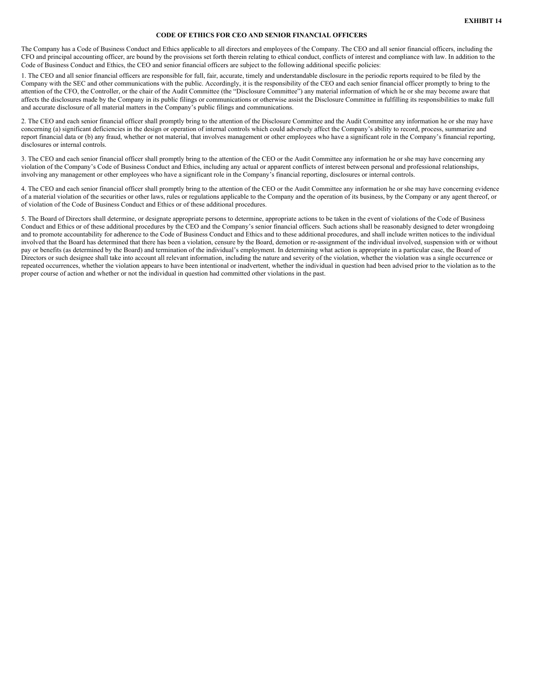#### **CODE OF ETHICS FOR CEO AND SENIOR FINANCIAL OFFICERS**

The Company has a Code of Business Conduct and Ethics applicable to all directors and employees of the Company. The CEO and all senior financial officers, including the CFO and principal accounting officer, are bound by the provisions set forth therein relating to ethical conduct, conflicts of interest and compliance with law. In addition to the Code of Business Conduct and Ethics, the CEO and senior financial officers are subject to the following additional specific policies:

1. The CEO and all senior financial officers are responsible for full, fair, accurate, timely and understandable disclosure in the periodic reports required to be filed by the Company with the SEC and other communications with the public. Accordingly, it is the responsibility of the CEO and each senior financial officer promptly to bring to the attention of the CFO, the Controller, or the chair of the Audit Committee (the "Disclosure Committee") any material information of which he or she may become aware that affects the disclosures made by the Company in its public filings or communications or otherwise assist the Disclosure Committee in fulfilling its responsibilities to make full and accurate disclosure of all material matters in the Company's public filings and communications.

2. The CEO and each senior financial officer shall promptly bring to the attention of the Disclosure Committee and the Audit Committee any information he or she may have concerning (a) significant deficiencies in the design or operation of internal controls which could adversely affect the Company's ability to record, process, summarize and report financial data or (b) any fraud, whether or not material, that involves management or other employees who have a significant role in the Company's financial reporting, disclosures or internal controls.

3. The CEO and each senior financial officer shall promptly bring to the attention of the CEO or the Audit Committee any information he or she may have concerning any violation of the Company's Code of Business Conduct and Ethics, including any actual or apparent conflicts of interest between personal and professional relationships, involving any management or other employees who have a significant role in the Company's financial reporting, disclosures or internal controls.

4. The CEO and each senior financial officer shall promptly bring to the attention of the CEO or the Audit Committee any information he or she may have concerning evidence of a material violation of the securities or other laws, rules or regulations applicable to the Company and the operation of its business, by the Company or any agent thereof, or of violation of the Code of Business Conduct and Ethics or of these additional procedures.

5. The Board of Directors shall determine, or designate appropriate persons to determine, appropriate actions to be taken in the event of violations of the Code of Business Conduct and Ethics or of these additional procedures by the CEO and the Company's senior financial officers. Such actions shall be reasonably designed to deter wrongdoing and to promote accountability for adherence to the Code of Business Conduct and Ethics and to these additional procedures, and shall include written notices to the individual involved that the Board has determined that there has been a violation, censure by the Board, demotion or re-assignment of the individual involved, suspension with or without pay or benefits (as determined by the Board) and termination of the individual's employment. In determining what action is appropriate in a particular case, the Board of Directors or such designee shall take into account all relevant information, including the nature and severity of the violation, whether the violation was a single occurrence or repeated occurrences, whether the violation appears to have been intentional or inadvertent, whether the individual in question had been advised prior to the violation as to the proper course of action and whether or not the individual in question had committed other violations in the past.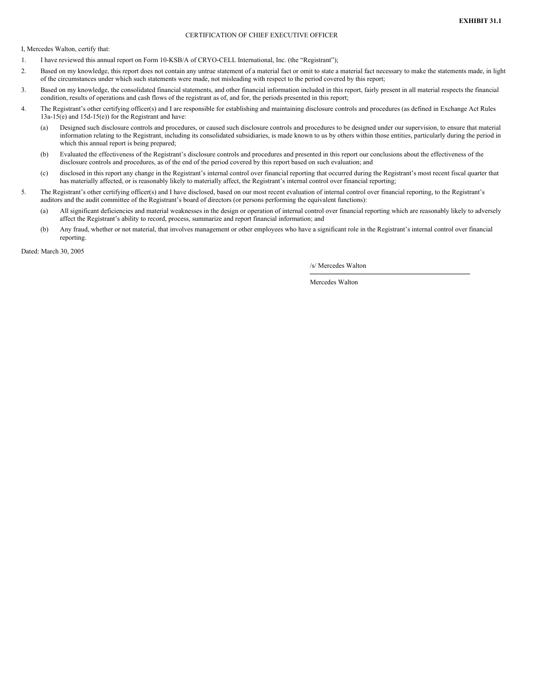# CERTIFICATION OF CHIEF EXECUTIVE OFFICER

I, Mercedes Walton, certify that:

- 1. I have reviewed this annual report on Form 10-KSB/A of CRYO-CELL International, Inc. (the "Registrant");
- 2. Based on my knowledge, this report does not contain any untrue statement of a material fact or omit to state a material fact necessary to make the statements made, in light of the circumstances under which such statements were made, not misleading with respect to the period covered by this report;
- 3. Based on my knowledge, the consolidated financial statements, and other financial information included in this report, fairly present in all material respects the financial condition, results of operations and cash flows of the registrant as of, and for, the periods presented in this report;
- 4. The Registrant's other certifying officer(s) and I are responsible for establishing and maintaining disclosure controls and procedures (as defined in Exchange Act Rules 13a-15(e) and 15d-15(e)) for the Registrant and have:
	- (a) Designed such disclosure controls and procedures, or caused such disclosure controls and procedures to be designed under our supervision, to ensure that material information relating to the Registrant, including its consolidated subsidiaries, is made known to us by others within those entities, particularly during the period in which this annual report is being prepared;
	- (b) Evaluated the effectiveness of the Registrant's disclosure controls and procedures and presented in this report our conclusions about the effectiveness of the disclosure controls and procedures, as of the end of the period covered by this report based on such evaluation; and
	- (c) disclosed in this report any change in the Registrant's internal control over financial reporting that occurred during the Registrant's most recent fiscal quarter that has materially affected, or is reasonably likely to materially affect, the Registrant's internal control over financial reporting;
- 5. The Registrant's other certifying officer(s) and I have disclosed, based on our most recent evaluation of internal control over financial reporting, to the Registrant's auditors and the audit committee of the Registrant's board of directors (or persons performing the equivalent functions):
	- (a) All significant deficiencies and material weaknesses in the design or operation of internal control over financial reporting which are reasonably likely to adversely affect the Registrant's ability to record, process, summarize and report financial information; and
	- (b) Any fraud, whether or not material, that involves management or other employees who have a significant role in the Registrant's internal control over financial reporting.

Dated: March 30, 2005

/s/ Mercedes Walton

Mercedes Walton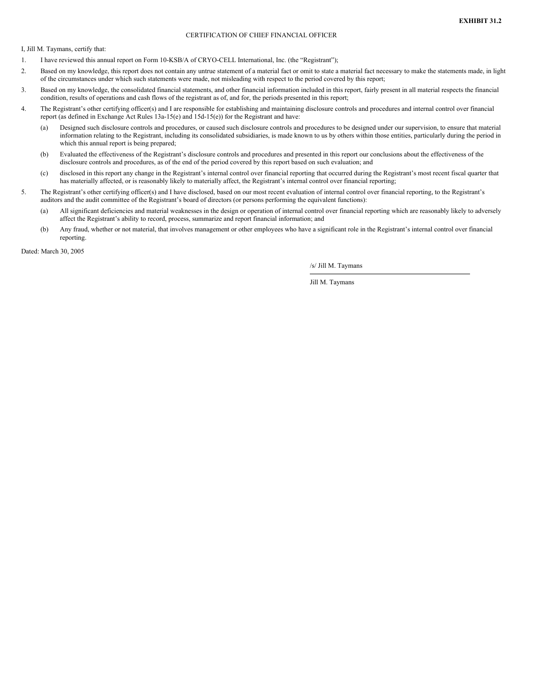#### CERTIFICATION OF CHIEF FINANCIAL OFFICER

I, Jill M. Taymans, certify that:

- 1. I have reviewed this annual report on Form 10-KSB/A of CRYO-CELL International, Inc. (the "Registrant");
- 2. Based on my knowledge, this report does not contain any untrue statement of a material fact or omit to state a material fact necessary to make the statements made, in light of the circumstances under which such statements were made, not misleading with respect to the period covered by this report;
- 3. Based on my knowledge, the consolidated financial statements, and other financial information included in this report, fairly present in all material respects the financial condition, results of operations and cash flows of the registrant as of, and for, the periods presented in this report;
- 4. The Registrant's other certifying officer(s) and I are responsible for establishing and maintaining disclosure controls and procedures and internal control over financial report (as defined in Exchange Act Rules  $13a-15(e)$  and  $15d-15(e)$ ) for the Registrant and have:
	- (a) Designed such disclosure controls and procedures, or caused such disclosure controls and procedures to be designed under our supervision, to ensure that material information relating to the Registrant, including its consolidated subsidiaries, is made known to us by others within those entities, particularly during the period in which this annual report is being prepared;
	- (b) Evaluated the effectiveness of the Registrant's disclosure controls and procedures and presented in this report our conclusions about the effectiveness of the disclosure controls and procedures, as of the end of the period covered by this report based on such evaluation; and
	- (c) disclosed in this report any change in the Registrant's internal control over financial reporting that occurred during the Registrant's most recent fiscal quarter that has materially affected, or is reasonably likely to materially affect, the Registrant's internal control over financial reporting;
- 5. The Registrant's other certifying officer(s) and I have disclosed, based on our most recent evaluation of internal control over financial reporting, to the Registrant's auditors and the audit committee of the Registrant's board of directors (or persons performing the equivalent functions):
	- (a) All significant deficiencies and material weaknesses in the design or operation of internal control over financial reporting which are reasonably likely to adversely affect the Registrant's ability to record, process, summarize and report financial information; and
	- (b) Any fraud, whether or not material, that involves management or other employees who have a significant role in the Registrant's internal control over financial reporting.

Dated: March 30, 2005

/s/ Jill M. Taymans

Jill M. Taymans